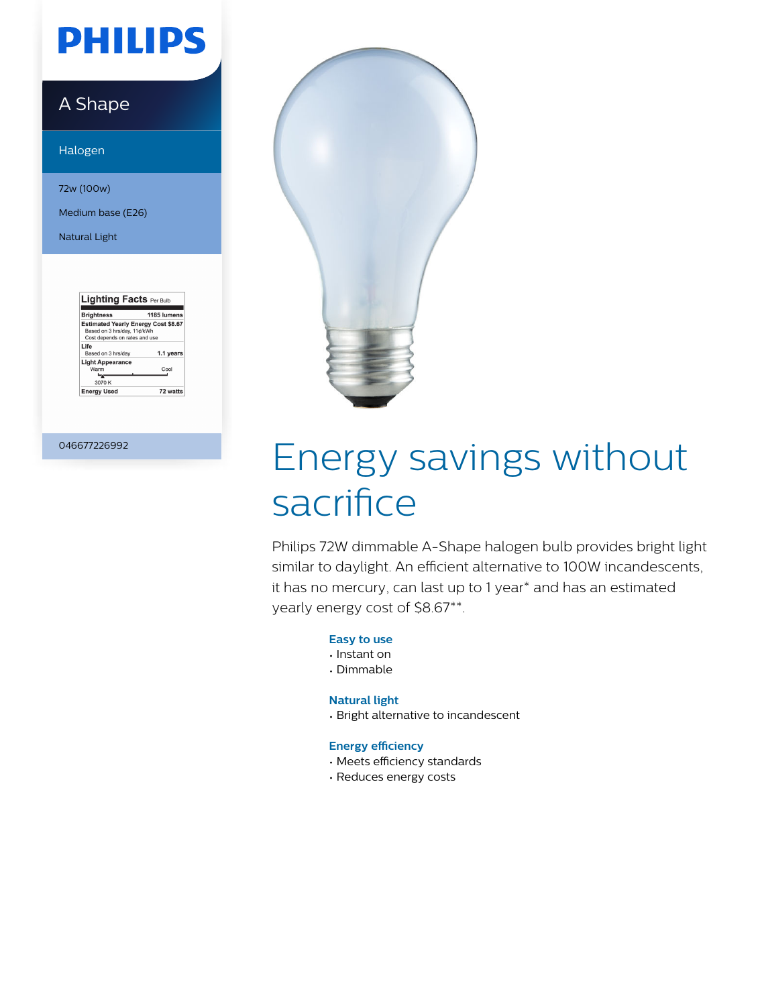# **PHILIPS**

### A Shape

Halogen

72w (100w)

Medium base (E26)

Natural Light

| <b>Brightness</b>                                                                                          | 1185 lumens |
|------------------------------------------------------------------------------------------------------------|-------------|
| <b>Estimated Yearly Energy Cost \$8.67</b><br>Based on 3 hrs/day, 11¢/kWh<br>Cost depends on rates and use |             |
| Life<br>Based on 3 hrs/day                                                                                 | 1.1 years   |
| <b>Light Appearance</b><br>Warm<br>3070 K                                                                  | Cool        |
| <b>Energy Used</b>                                                                                         | 72 watts    |

046677226992



# Energy savings without sacrifice

Philips 72W dimmable A-Shape halogen bulb provides bright light similar to daylight. An efficient alternative to 100W incandescents, it has no mercury, can last up to 1 year\* and has an estimated yearly energy cost of \$8.67\*\*.

#### **Easy to use**

- Instant on
- Dimmable

#### **Natural light**

• Bright alternative to incandescent

#### **Energy efficiency**

- Meets efficiency standards
- Reduces energy costs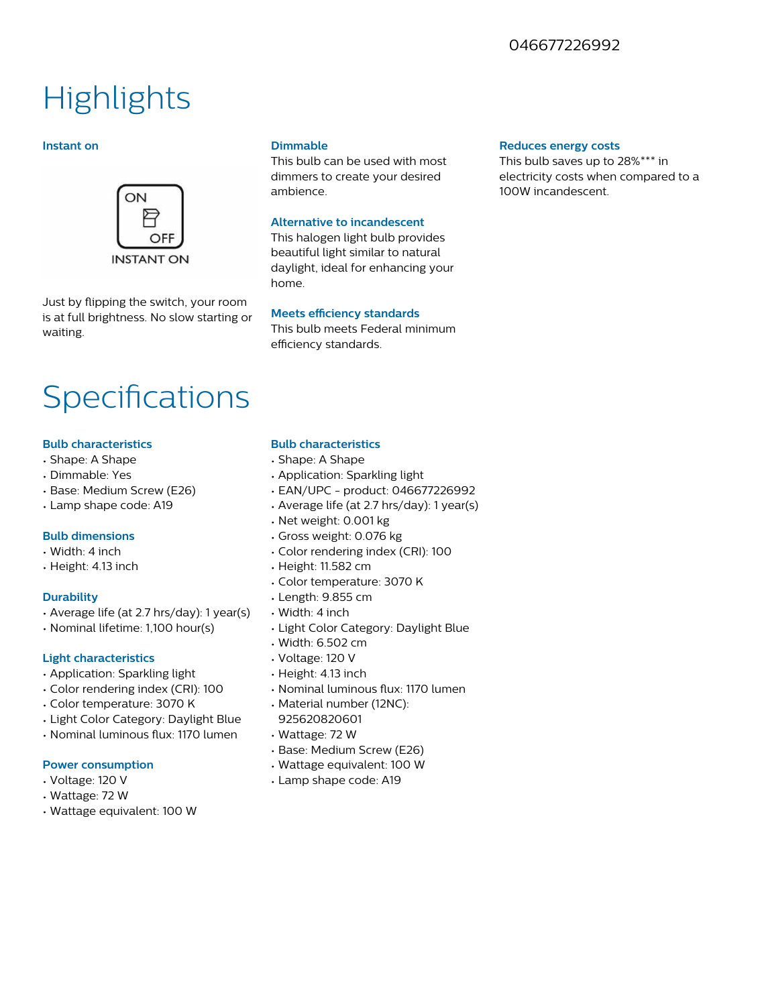### 046677226992

## **Highlights**

#### **Instant on**



Just by flipping the switch, your room is at full brightness. No slow starting or waiting.

#### **Dimmable**

This bulb can be used with most dimmers to create your desired ambience.

#### **Alternative to incandescent**

This halogen light bulb provides beautiful light similar to natural daylight, ideal for enhancing your home.

#### **Meets efficiency standards**

This bulb meets Federal minimum efficiency standards.

## **Specifications**

#### **Bulb characteristics**

- Shape: A Shape
- Dimmable: Yes
- Base: Medium Screw (E26)
- Lamp shape code: A19

#### **Bulb dimensions**

- Width: 4 inch
- Height: 4.13 inch

#### **Durability**

- Average life (at 2.7 hrs/day): 1 year(s)
- Nominal lifetime: 1,100 hour(s)

#### **Light characteristics**

- Application: Sparkling light
- Color rendering index (CRI): 100
- Color temperature: 3070 K
- Light Color Category: Daylight Blue
- Nominal luminous flux: 1170 lumen

#### **Power consumption**

- Voltage: 120 V
- Wattage: 72 W
- Wattage equivalent: 100 W

#### **Bulb characteristics**

- Shape: A Shape
- Application: Sparkling light
- EAN/UPC product: 046677226992
- Average life (at 2.7 hrs/day): 1 year(s)
- Net weight: 0.001 kg
- Gross weight: 0.076 kg
- Color rendering index (CRI): 100
- Height: 11.582 cm
- Color temperature: 3070 K
- Length: 9.855 cm
- Width: 4 inch
- Light Color Category: Daylight Blue
- Width: 6.502 cm
- Voltage: 120 V
- Height: 4.13 inch
- Nominal luminous flux: 1170 lumen
- Material number (12NC): 925620820601
- Wattage: 72 W
- Base: Medium Screw (E26)
- Wattage equivalent: 100 W
- Lamp shape code: A19

#### **Reduces energy costs**

This bulb saves up to 28%\*\*\* in electricity costs when compared to a 100W incandescent.